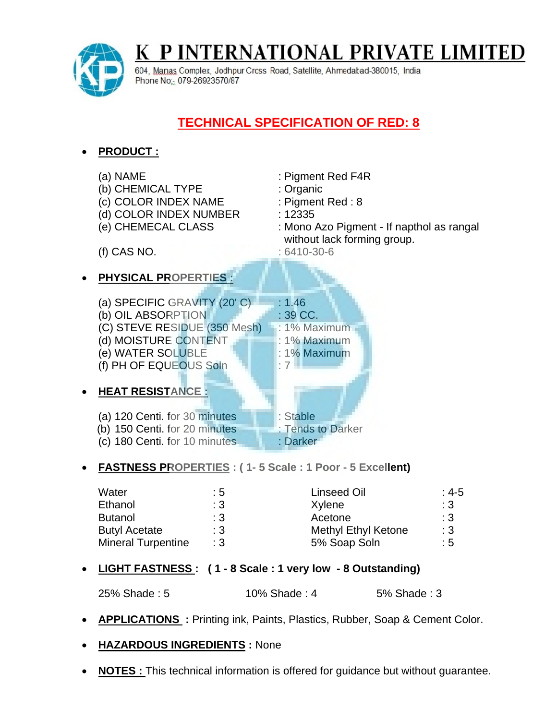K P INTERNATIONAL PRIVATE LIMITED



604, Manas Complex, Jodhpur Cross Road, Satellite, Ahmedabad-380015, India Phone No: 079-26923570/87

## **TECHNICAL SPECIFICATION OF RED: 8**

- **PRODUCT :** (a) NAME : Pigment Red F4R (b) CHEMICAL TYPE : Organic (c) COLOR INDEX NAME : Pigment Red : 8 (d) COLOR INDEX NUMBER : 12335 (e) CHEMECAL CLASS : Mono Azo Pigment - If napthol as rangal without lack forming group. (f) CAS NO. : 6410-30-6 **PHYSICAL PROPERTIES :** (a) SPECIFIC GRAVITY  $(20^{\circ}$  C)  $\Box$  : 1.46 (b) OIL ABSORPTION : 39 CC. (C) STEVE RESIDUE (350 Mesh) : 1% Maximum (d) MOISTURE CONTENT : 1% Maximum (e) WATER SOLUBLE : 1% Maximum (f) PH OF EQUEOUS Soln  $\Box$  : 7 **HEAT RESISTANCE :** (a) 120 Centi. for 30 minutes : Stable (b) 150 Centi. for 20 minutes : Tends to Darker (c) 180 Centi. for 10 minutes : Darker **FASTNESS PROPERTIES : ( 1- 5 Scale : 1 Poor - 5 Excellent)** Water  $\cdot$  5 : 5 Linseed Oil  $\cdot$  4-5 Ethanol : 3 Xylene : 3 Xylene : 3 Butanol : 3 Acetone : 3 Acetone : 3 Butyl Acetate : 3 Methyl Ethyl Ketone : 3 Mineral Turpentine : 3 5% Soap Soln : 5 **LIGHT FASTNESS : ( 1 - 8 Scale : 1 very low - 8 Outstanding)** 25% Shade : 5 10% Shade : 4 5% Shade : 3
- **APPLICATIONS :** Printing ink, Paints, Plastics, Rubber, Soap & Cement Color.
- **HAZARDOUS INGREDIENTS :** None
- **NOTES :** This technical information is offered for guidance but without guarantee.